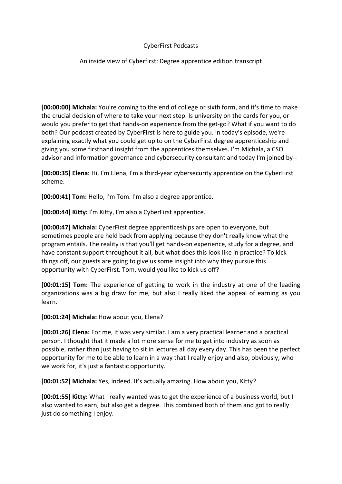## CyberFirst Podcasts

## An inside view of Cyberfirst: Degree apprentice edition transcript

**[00:00:00] Michala:** You're coming to the end of college or sixth form, and it's time to make the crucial decision of where to take your next step. Is university on the cards for you, or would you prefer to get that hands-on experience from the get-go? What if you want to do both? Our podcast created by CyberFirst is here to guide you. In today's episode, we're explaining exactly what you could get up to on the CyberFirst degree apprenticeship and giving you some firsthand insight from the apprentices themselves. I'm Michala, a CSO advisor and information governance and cybersecurity consultant and today I'm joined by--

**[00:00:35] Elena:** Hi, I'm Elena, I'm a third-year cybersecurity apprentice on the CyberFirst scheme.

**[00:00:41] Tom:** Hello, I'm Tom. I'm also a degree apprentice.

**[00:00:44] Kitty:** I'm Kitty, I'm also a CyberFirst apprentice.

**[00:00:47] Michala:** CyberFirst degree apprenticeships are open to everyone, but sometimes people are held back from applying because they don't really know what the program entails. The reality is that you'll get hands-on experience, study for a degree, and have constant support throughout it all, but what does this look like in practice? To kick things off, our guests are going to give us some insight into why they pursue this opportunity with CyberFirst. Tom, would you like to kick us off?

**[00:01:15] Tom:** The experience of getting to work in the industry at one of the leading organizations was a big draw for me, but also I really liked the appeal of earning as you learn.

**[00:01:24] Michala:** How about you, Elena?

**[00:01:26] Elena:** For me, it was very similar. I am a very practical learner and a practical person. I thought that it made a lot more sense for me to get into industry as soon as possible, rather than just having to sit in lectures all day every day. This has been the perfect opportunity for me to be able to learn in a way that I really enjoy and also, obviously, who we work for, it's just a fantastic opportunity.

**[00:01:52] Michala:** Yes, indeed. It's actually amazing. How about you, Kitty?

**[00:01:55] Kitty:** What I really wanted was to get the experience of a business world, but I also wanted to earn, but also get a degree. This combined both of them and got to really just do something I enjoy.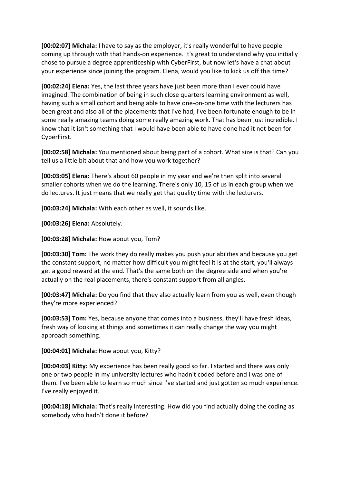**[00:02:07] Michala:** I have to say as the employer, it's really wonderful to have people coming up through with that hands-on experience. It's great to understand why you initially chose to pursue a degree apprenticeship with CyberFirst, but now let's have a chat about your experience since joining the program. Elena, would you like to kick us off this time?

**[00:02:24] Elena:** Yes, the last three years have just been more than I ever could have imagined. The combination of being in such close quarters learning environment as well, having such a small cohort and being able to have one-on-one time with the lecturers has been great and also all of the placements that I've had, I've been fortunate enough to be in some really amazing teams doing some really amazing work. That has been just incredible. I know that it isn't something that I would have been able to have done had it not been for CyberFirst.

**[00:02:58] Michala:** You mentioned about being part of a cohort. What size is that? Can you tell us a little bit about that and how you work together?

**[00:03:05] Elena:** There's about 60 people in my year and we're then split into several smaller cohorts when we do the learning. There's only 10, 15 of us in each group when we do lectures. It just means that we really get that quality time with the lecturers.

**[00:03:24] Michala:** With each other as well, it sounds like.

**[00:03:26] Elena:** Absolutely.

**[00:03:28] Michala:** How about you, Tom?

**[00:03:30] Tom:** The work they do really makes you push your abilities and because you get the constant support, no matter how difficult you might feel it is at the start, you'll always get a good reward at the end. That's the same both on the degree side and when you're actually on the real placements, there's constant support from all angles.

**[00:03:47] Michala:** Do you find that they also actually learn from you as well, even though they're more experienced?

**[00:03:53] Tom:** Yes, because anyone that comes into a business, they'll have fresh ideas, fresh way of looking at things and sometimes it can really change the way you might approach something.

**[00:04:01] Michala:** How about you, Kitty?

**[00:04:03] Kitty:** My experience has been really good so far. I started and there was only one or two people in my university lectures who hadn't coded before and I was one of them. I've been able to learn so much since I've started and just gotten so much experience. I've really enjoyed it.

**[00:04:18] Michala:** That's really interesting. How did you find actually doing the coding as somebody who hadn't done it before?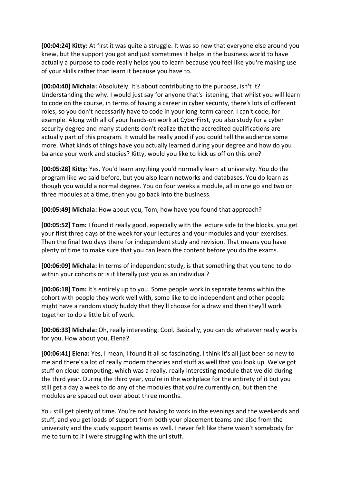**[00:04:24] Kitty:** At first it was quite a struggle. It was so new that everyone else around you knew, but the support you got and just sometimes it helps in the business world to have actually a purpose to code really helps you to learn because you feel like you're making use of your skills rather than learn it because you have to.

**[00:04:40] Michala:** Absolutely. It's about contributing to the purpose, isn't it? Understanding the why. I would just say for anyone that's listening, that whilst you will learn to code on the course, in terms of having a career in cyber security, there's lots of different roles, so you don't necessarily have to code in your long-term career. I can't code, for example. Along with all of your hands-on work at CyberFirst, you also study for a cyber security degree and many students don't realize that the accredited qualifications are actually part of this program. It would be really good if you could tell the audience some more. What kinds of things have you actually learned during your degree and how do you balance your work and studies? Kitty, would you like to kick us off on this one?

**[00:05:28] Kitty:** Yes. You'd learn anything you'd normally learn at university. You do the program like we said before, but you also learn networks and databases. You do learn as though you would a normal degree. You do four weeks a module, all in one go and two or three modules at a time, then you go back into the business.

**[00:05:49] Michala:** How about you, Tom, how have you found that approach?

**[00:05:52] Tom:** I found it really good, especially with the lecture side to the blocks, you get your first three days of the week for your lectures and your modules and your exercises. Then the final two days there for independent study and revision. That means you have plenty of time to make sure that you can learn the content before you do the exams.

**[00:06:09] Michala:** In terms of independent study, is that something that you tend to do within your cohorts or is it literally just you as an individual?

**[00:06:18] Tom:** It's entirely up to you. Some people work in separate teams within the cohort with people they work well with, some like to do independent and other people might have a random study buddy that they'll choose for a draw and then they'll work together to do a little bit of work.

**[00:06:33] Michala:** Oh, really interesting. Cool. Basically, you can do whatever really works for you. How about you, Elena?

**[00:06:41] Elena:** Yes, I mean, I found it all so fascinating. I think it's all just been so new to me and there's a lot of really modern theories and stuff as well that you look up. We've got stuff on cloud computing, which was a really, really interesting module that we did during the third year. During the third year, you're in the workplace for the entirety of it but you still get a day a week to do any of the modules that you're currently on, but then the modules are spaced out over about three months.

You still get plenty of time. You're not having to work in the evenings and the weekends and stuff, and you get loads of support from both your placement teams and also from the university and the study support teams as well. I never felt like there wasn't somebody for me to turn to if I were struggling with the uni stuff.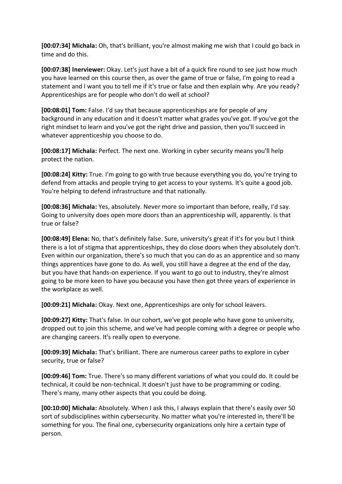**[00:07:34] Michala:** Oh, that's brilliant, you're almost making me wish that I could go back in time and do this.

**[00:07:38] Inerviewer:** Okay. Let's just have a bit of a quick fire round to see just how much you have learned on this course then, as over the game of true or false, I'm going to read a statement and I want you to tell me if it's true or false and then explain why. Are you ready? Apprenticeships are for people who don't do well at school?

**[00:08:01] Tom:** False. I'd say that because apprenticeships are for people of any background in any education and it doesn't matter what grades you've got. If you've got the right mindset to learn and you've got the right drive and passion, then you'll succeed in whatever apprenticeship you choose to do.

**[00:08:17] Michala:** Perfect. The next one. Working in cyber security means you'll help protect the nation.

**[00:08:24] Kitty:** True. I'm going to go with true because everything you do, you're trying to defend from attacks and people trying to get access to your systems. It's quite a good job. You're helping to defend infrastructure and that nationally.

**[00:08:36] Michala:** Yes, absolutely. Never more so important than before, really, I'd say. Going to university does open more doors than an apprenticeship will, apparently. Is that true or false?

**[00:08:49] Elena:** No, that's definitely false. Sure, university's great if it's for you but I think there is a lot of stigma that apprenticeships, they do close doors when they absolutely don't. Even within our organization, there's so much that you can do as an apprentice and so many things apprentices have gone to do. As well, you still have a degree at the end of the day, but you have that hands-on experience. If you want to go out to industry, they're almost going to be more keen to have you because you have then got three years of experience in the workplace as well.

**[00:09:21] Michala:** Okay. Next one, Apprenticeships are only for school leavers.

**[00:09:27] Kitty:** That's false. In our cohort, we've got people who have gone to university, dropped out to join this scheme, and we've had people coming with a degree or people who are changing careers. It's really open to everyone.

**[00:09:39] Michala:** That's brilliant. There are numerous career paths to explore in cyber security, true or false?

**[00:09:46] Tom:** True. There's so many different variations of what you could do. It could be technical, it could be non-technical. It doesn't just have to be programming or coding. There's many, many other aspects that you could be doing.

**[00:10:00] Michala:** Absolutely. When I ask this, I always explain that there's easily over 50 sort of subdisciplines within cybersecurity. No matter what you're interested in, there'll be something for you. The final one, cybersecurity organizations only hire a certain type of person.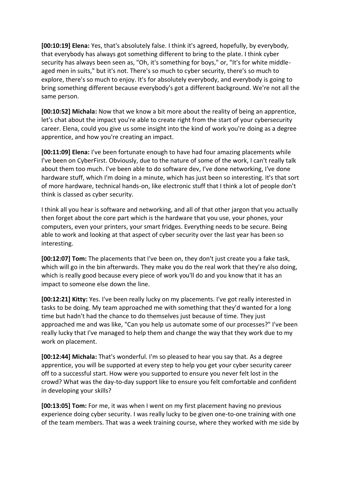**[00:10:19] Elena:** Yes, that's absolutely false. I think it's agreed, hopefully, by everybody, that everybody has always got something different to bring to the plate. I think cyber security has always been seen as, "Oh, it's something for boys," or, "It's for white middleaged men in suits," but it's not. There's so much to cyber security, there's so much to explore, there's so much to enjoy. It's for absolutely everybody, and everybody is going to bring something different because everybody's got a different background. We're not all the same person.

**[00:10:52] Michala:** Now that we know a bit more about the reality of being an apprentice, let's chat about the impact you're able to create right from the start of your cybersecurity career. Elena, could you give us some insight into the kind of work you're doing as a degree apprentice, and how you're creating an impact.

**[00:11:09] Elena:** I've been fortunate enough to have had four amazing placements while I've been on CyberFirst. Obviously, due to the nature of some of the work, I can't really talk about them too much. I've been able to do software dev, I've done networking, I've done hardware stuff, which I'm doing in a minute, which has just been so interesting. It's that sort of more hardware, technical hands-on, like electronic stuff that I think a lot of people don't think is classed as cyber security.

I think all you hear is software and networking, and all of that other jargon that you actually then forget about the core part which is the hardware that you use, your phones, your computers, even your printers, your smart fridges. Everything needs to be secure. Being able to work and looking at that aspect of cyber security over the last year has been so interesting.

**[00:12:07] Tom:** The placements that I've been on, they don't just create you a fake task, which will go in the bin afterwards. They make you do the real work that they're also doing, which is really good because every piece of work you'll do and you know that it has an impact to someone else down the line.

**[00:12:21] Kitty:** Yes. I've been really lucky on my placements. I've got really interested in tasks to be doing. My team approached me with something that they'd wanted for a long time but hadn't had the chance to do themselves just because of time. They just approached me and was like, "Can you help us automate some of our processes?" I've been really lucky that I've managed to help them and change the way that they work due to my work on placement.

**[00:12:44] Michala:** That's wonderful. I'm so pleased to hear you say that. As a degree apprentice, you will be supported at every step to help you get your cyber security career off to a successful start. How were you supported to ensure you never felt lost in the crowd? What was the day-to-day support like to ensure you felt comfortable and confident in developing your skills?

**[00:13:05] Tom:** For me, it was when I went on my first placement having no previous experience doing cyber security. I was really lucky to be given one-to-one training with one of the team members. That was a week training course, where they worked with me side by